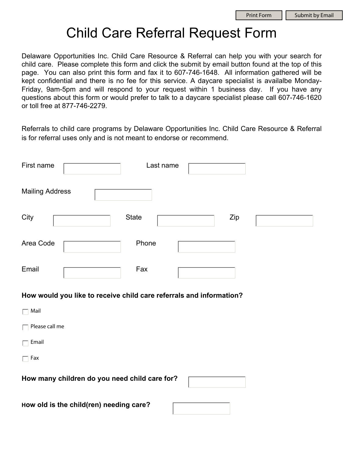# Child Care Referral Request Form

Delaware Opportunities Inc. Child Care Resource & Referral can help you with your search for child care. Please complete this form and click the submit by email button found at the top of this page. You can also print this form and fax it to 607-746-1648. All information gathered will be kept confidential and there is no fee for this service. A daycare specialist is availalbe Monday-Friday, 9am-5pm and will respond to your request within 1 business day. If you have any questions about this form or would prefer to talk to a daycare specialist please call 607-746-1620 or toll free at 877-746-2279.

Referrals to child care programs by Delaware Opportunities Inc. Child Care Resource & Referral is for referral uses only and is not meant to endorse or recommend.

| First name             | Last name |     |  |
|------------------------|-----------|-----|--|
| <b>Mailing Address</b> |           |     |  |
| City                   | State     | Zip |  |
| Area Code              | Phone     |     |  |
| Email                  | Fax       |     |  |

#### **How would you like to receive child care referrals and information?**

| Mail                                          |  |
|-----------------------------------------------|--|
| Please call me                                |  |
| Email                                         |  |
| Fax                                           |  |
| How many children do you need child care for? |  |

**How old is the child(ren) needing care?**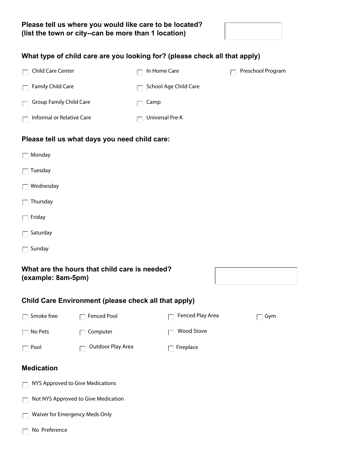

#### **What type of child care are you looking for? (please check all that apply)**

| Child Care Center                        | In Home Care          | Preschool Program |
|------------------------------------------|-----------------------|-------------------|
| Family Child Care<br>$\Box$              | School Age Child Care |                   |
| <b>Group Family Child Care</b><br>$\Box$ | Camp                  |                   |
| Informal or Relative Care                | Universal Pre-K       |                   |

#### **Please tell us what days you need child care:**

| Monday |
|--------|
|--------|

- $\Box$  Tuesday
- $\Box$  Wednesday
- $\Box$  Thursday
- $\Box$  Friday
- $\Box$  Saturday
- $\Box$  Sunday

#### **What are the hours that child care is needed? (example: 8am-5pm)**

Г

#### **Child Care Environment (please check all that apply)**

| Smoke free                          | <b>Fenced Pool</b> | Fenced Play Area  | Gym |
|-------------------------------------|--------------------|-------------------|-----|
| No Pets                             | Computer           | <b>Wood Stove</b> |     |
| Pool                                | Outdoor Play Area  | Fireplace         |     |
| <b>Medication</b>                   |                    |                   |     |
| NYS Approved to Give Medications    |                    |                   |     |
| Not NYS Approved to Give Medication |                    |                   |     |
| Waiver for Emergency Meds Only      |                    |                   |     |
| No Preference                       |                    |                   |     |